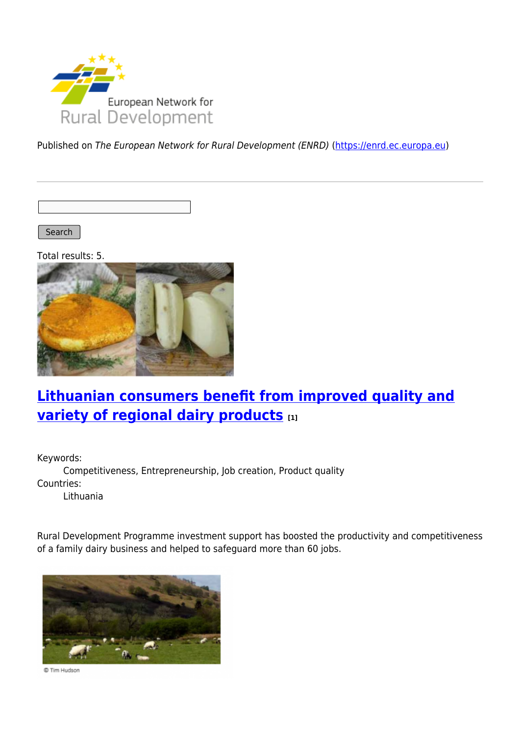

Published on The European Network for Rural Development (ENRD) [\(https://enrd.ec.europa.eu](https://enrd.ec.europa.eu))

Search |

Total results: 5.



## **[Lithuanian consumers benefit from improved quality and](https://enrd.ec.europa.eu/projects-practice/lithuanian-consumers-benefit-improved-quality-and-variety-regional-dairy-products_en) [variety of regional dairy products](https://enrd.ec.europa.eu/projects-practice/lithuanian-consumers-benefit-improved-quality-and-variety-regional-dairy-products_en) [1]**

Keywords:

Competitiveness, Entrepreneurship, Job creation, Product quality Countries:

Lithuania

Rural Development Programme investment support has boosted the productivity and competitiveness of a family dairy business and helped to safeguard more than 60 jobs.



© Tim Hudson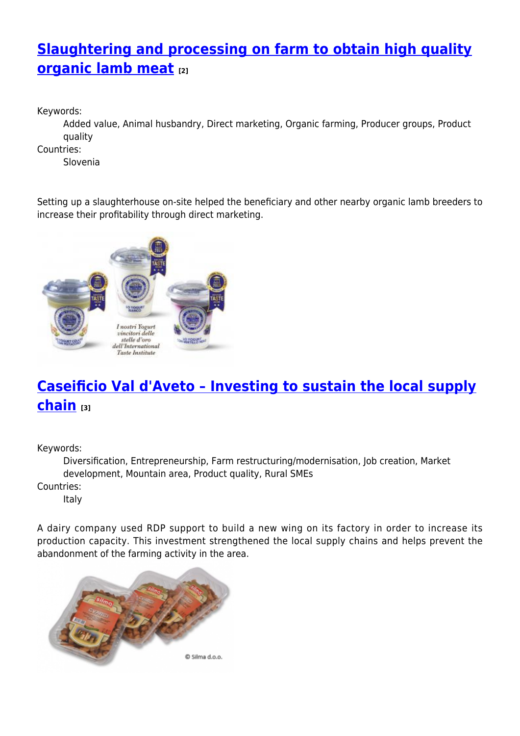# **[Slaughtering and processing on farm to obtain high quality](https://enrd.ec.europa.eu/projects-practice/slaughtering-and-processing-farm-obtain-high-quality-organic-lamb-meat_en) [organic lamb meat](https://enrd.ec.europa.eu/projects-practice/slaughtering-and-processing-farm-obtain-high-quality-organic-lamb-meat_en) [2]**

Keywords:

Added value, Animal husbandry, Direct marketing, Organic farming, Producer groups, Product quality

Countries:

Slovenia

Setting up a slaughterhouse on-site helped the beneficiary and other nearby organic lamb breeders to increase their profitability through direct marketing.



# **[Caseificio Val d'Aveto – Investing to sustain the local supply](https://enrd.ec.europa.eu/projects-practice/caseificio-val-daveto-investing-sustain-local-supply-chain_en) [chain](https://enrd.ec.europa.eu/projects-practice/caseificio-val-daveto-investing-sustain-local-supply-chain_en) [3]**

Keywords:

Diversification, Entrepreneurship, Farm restructuring/modernisation, Job creation, Market development, Mountain area, Product quality, Rural SMEs

Countries:

Italy

A dairy company used RDP support to build a new wing on its factory in order to increase its production capacity. This investment strengthened the local supply chains and helps prevent the abandonment of the farming activity in the area.

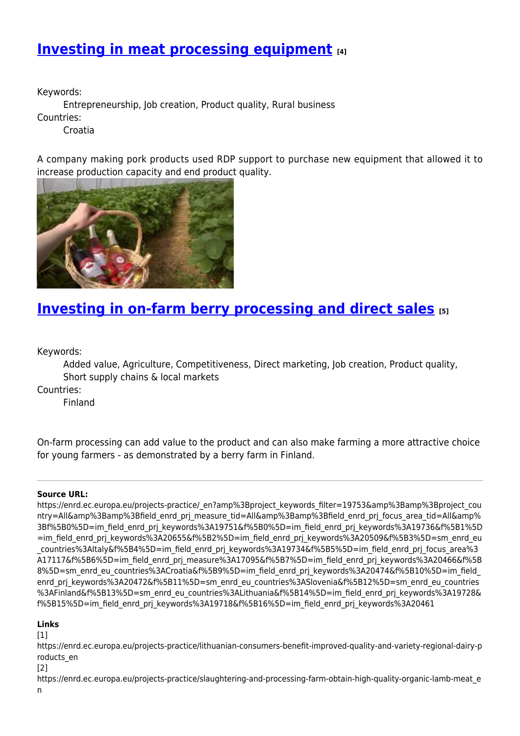### **[Investing in meat processing equipment](https://enrd.ec.europa.eu/projects-practice/investing-meat-processing-equipment_en) [4]**

Keywords:

Entrepreneurship, Job creation, Product quality, Rural business

Countries:

Croatia

A company making pork products used RDP support to purchase new equipment that allowed it to increase production capacity and end product quality.



### **[Investing in on-farm berry processing and direct sales](https://enrd.ec.europa.eu/projects-practice/investing-farm-berry-processing-and-direct-sales_en) [5]**

Keywords:

Added value, Agriculture, Competitiveness, Direct marketing, Job creation, Product quality, Short supply chains & local markets

Countries:

Finland

On-farm processing can add value to the product and can also make farming a more attractive choice for young farmers - as demonstrated by a berry farm in Finland.

#### **Source URL:**

https://enrd.ec.europa.eu/projects-practice/\_en?amp%3Bproject\_keywords\_filter=19753&amp%3Bamp%3Bproject\_cou ntry=All&amp%3Bamp%3Bfield\_enrd\_prj\_measure\_tid=All&amp%3Bamp%3Bfield\_enrd\_prj\_focus\_area\_tid=All&amp% 3Bf%5B0%5D=im\_field\_enrd\_prj\_keywords%3A19751&f%5B0%5D=im\_field\_enrd\_prj\_keywords%3A19736&f%5B1%5D =im\_field\_enrd\_prj\_keywords%3A20655&f%5B2%5D=im\_field\_enrd\_prj\_keywords%3A20509&f%5B3%5D=sm\_enrd\_eu \_countries%3AItaly&f%5B4%5D=im\_field\_enrd\_prj\_keywords%3A19734&f%5B5%5D=im\_field\_enrd\_prj\_focus\_area%3 A17117&f%5B6%5D=im\_field\_enrd\_prj\_measure%3A17095&f%5B7%5D=im\_field\_enrd\_prj\_keywords%3A20466&f%5B 8%5D=sm\_enrd\_eu\_countries%3ACroatia&f%5B9%5D=im\_field\_enrd\_prj\_keywords%3A20474&f%5B10%5D=im\_field enrd prj keywords%3A20472&f%5B11%5D=sm\_enrd\_eu\_countries%3ASlovenia&f%5B12%5D=sm\_enrd\_eu\_countries %3AFinland&f%5B13%5D=sm\_enrd\_eu\_countries%3ALithuania&f%5B14%5D=im\_field\_enrd\_prj\_keywords%3A19728& f%5B15%5D=im\_field\_enrd\_prj\_keywords%3A19718&f%5B16%5D=im\_field\_enrd\_prj\_keywords%3A20461

#### **Links**

[1]

https://enrd.ec.europa.eu/projects-practice/lithuanian-consumers-benefit-improved-quality-and-variety-regional-dairy-p roducts\_en

[2]

https://enrd.ec.europa.eu/projects-practice/slaughtering-and-processing-farm-obtain-high-quality-organic-lamb-meat\_e n